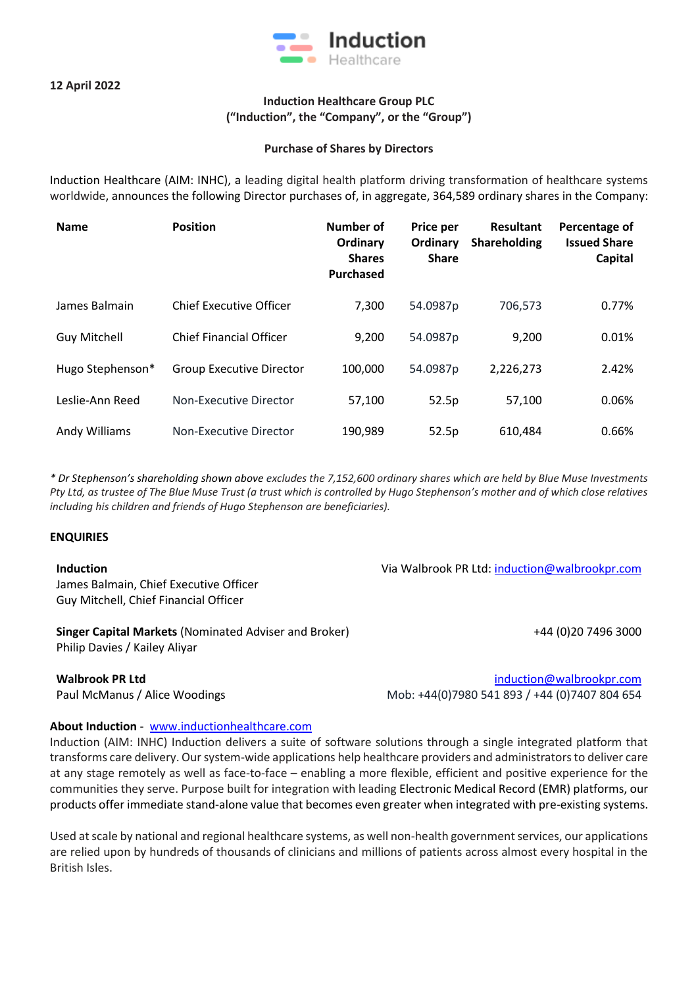

## **Induction Healthcare Group PLC ("Induction", the "Company", or the "Group")**

## **Purchase of Shares by Directors**

Induction Healthcare (AIM: INHC), a leading digital health platform driving transformation of healthcare systems worldwide, announces the following Director purchases of, in aggregate, 364,589 ordinary shares in the Company:

| <b>Name</b>         | <b>Position</b>                 | Number of<br>Ordinary<br><b>Shares</b><br><b>Purchased</b> | Price per<br>Ordinary<br><b>Share</b> | <b>Resultant</b><br>Shareholding | Percentage of<br><b>Issued Share</b><br>Capital |
|---------------------|---------------------------------|------------------------------------------------------------|---------------------------------------|----------------------------------|-------------------------------------------------|
| James Balmain       | <b>Chief Executive Officer</b>  | 7,300                                                      | 54.0987p                              | 706,573                          | 0.77%                                           |
| <b>Guy Mitchell</b> | <b>Chief Financial Officer</b>  | 9,200                                                      | 54.0987p                              | 9,200                            | 0.01%                                           |
| Hugo Stephenson*    | <b>Group Executive Director</b> | 100,000                                                    | 54.0987p                              | 2,226,273                        | 2.42%                                           |
| Leslie-Ann Reed     | Non-Executive Director          | 57,100                                                     | 52.5p                                 | 57,100                           | 0.06%                                           |
| Andy Williams       | Non-Executive Director          | 190,989                                                    | 52.5p                                 | 610,484                          | 0.66%                                           |

*\* Dr Stephenson's shareholding shown above excludes the 7,152,600 ordinary shares which are held by Blue Muse Investments Pty Ltd, as trustee of The Blue Muse Trust (a trust which is controlled by Hugo Stephenson's mother and of which close relatives including his children and friends of Hugo Stephenson are beneficiaries).*

## **ENQUIRIES**

**Induction** James Balmain, Chief Executive Officer Guy Mitchell, Chief Financial Officer

**Singer Capital Markets** (Nominated Adviser and Broker) +44 (0)20 7496 3000 Philip Davies / Kailey Aliyar

**Walbrook PR Ltd** [induction@walbrookpr.com](mailto:induction@walbrookpr.com) Paul McManus / Alice Woodings Mob: +44(0)7980 541 893 / +44 (0)7407 804 654

Via Walbrook PR Ltd: [induction@walbrookpr.com](mailto:induction@walbrookpr.com)

## **About Induction** - [www.inductionhealthcare.com](http://www.inductionhealthcare.com/)

Induction (AIM: INHC) Induction delivers a suite of software solutions through a single integrated platform that transforms care delivery. Our system-wide applications help healthcare providers and administrators to deliver care at any stage remotely as well as face-to-face – enabling a more flexible, efficient and positive experience for the communities they serve. Purpose built for integration with leading Electronic Medical Record (EMR) platforms, our products offer immediate stand-alone value that becomes even greater when integrated with pre-existing systems.

Used at scale by national and regional healthcare systems, as well non-health government services, our applications are relied upon by hundreds of thousands of clinicians and millions of patients across almost every hospital in the British Isles.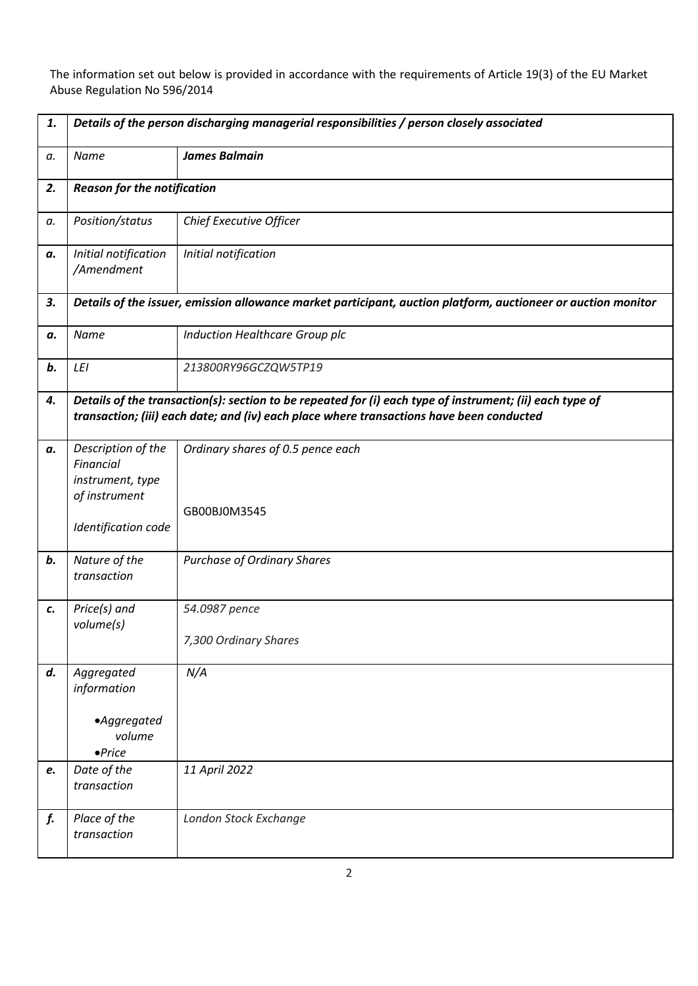The information set out below is provided in accordance with the requirements of Article 19(3) of the EU Market Abuse Regulation No 596/2014

| 1. | Details of the person discharging managerial responsibilities / person closely associated                                                                                                            |                                                   |  |
|----|------------------------------------------------------------------------------------------------------------------------------------------------------------------------------------------------------|---------------------------------------------------|--|
| a. | Name                                                                                                                                                                                                 | <b>James Balmain</b>                              |  |
| 2. | <b>Reason for the notification</b>                                                                                                                                                                   |                                                   |  |
| а. | Position/status                                                                                                                                                                                      | Chief Executive Officer                           |  |
| а. | Initial notification<br>/Amendment                                                                                                                                                                   | Initial notification                              |  |
| 3. | Details of the issuer, emission allowance market participant, auction platform, auctioneer or auction monitor                                                                                        |                                                   |  |
| а. | Name                                                                                                                                                                                                 | Induction Healthcare Group plc                    |  |
| b. | LEI                                                                                                                                                                                                  | 213800RY96GCZQW5TP19                              |  |
| 4. | Details of the transaction(s): section to be repeated for (i) each type of instrument; (ii) each type of<br>transaction; (iii) each date; and (iv) each place where transactions have been conducted |                                                   |  |
| а. | Description of the<br>Financial<br>instrument, type<br>of instrument<br>Identification code                                                                                                          | Ordinary shares of 0.5 pence each<br>GB00BJ0M3545 |  |
| b. | Nature of the<br>transaction                                                                                                                                                                         | <b>Purchase of Ordinary Shares</b>                |  |
| c. | Price(s) and<br>volume(s)                                                                                                                                                                            | 54.0987 pence<br>7,300 Ordinary Shares            |  |
| d. | Aggregated<br>information<br>·Aggregated<br>volume<br>$\bullet$ Price                                                                                                                                | N/A                                               |  |
| e. | Date of the<br>transaction                                                                                                                                                                           | 11 April 2022                                     |  |
| f. | Place of the<br>transaction                                                                                                                                                                          | London Stock Exchange                             |  |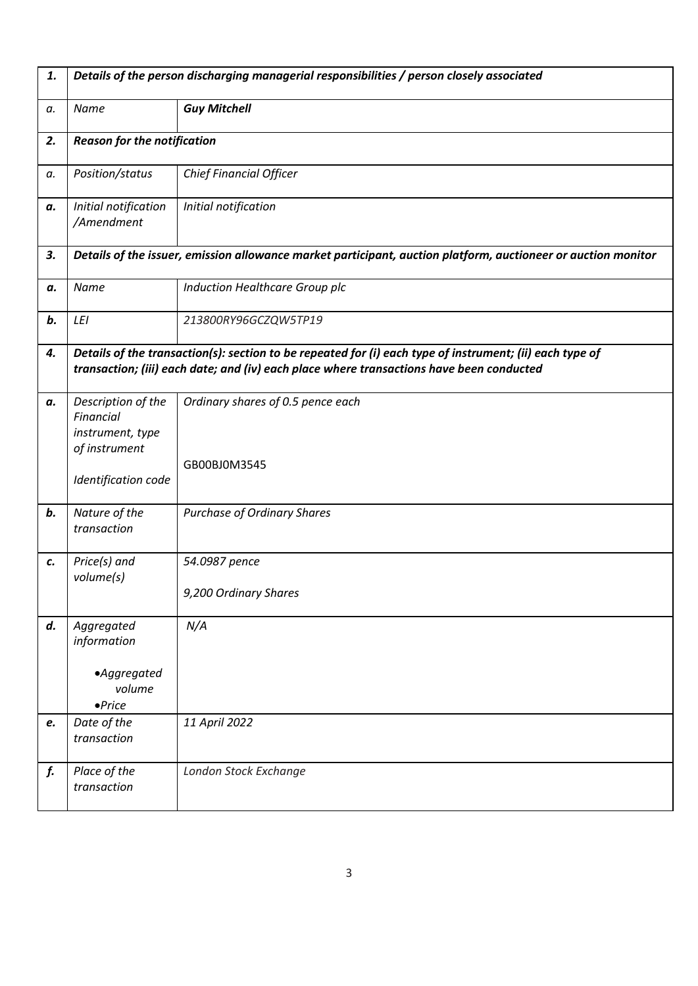| 1. | Details of the person discharging managerial responsibilities / person closely associated                     |                                                                                                                                                                                                      |  |
|----|---------------------------------------------------------------------------------------------------------------|------------------------------------------------------------------------------------------------------------------------------------------------------------------------------------------------------|--|
| a. | Name                                                                                                          | <b>Guy Mitchell</b>                                                                                                                                                                                  |  |
| 2. | <b>Reason for the notification</b>                                                                            |                                                                                                                                                                                                      |  |
| a. | Position/status                                                                                               | <b>Chief Financial Officer</b>                                                                                                                                                                       |  |
| а. | Initial notification<br>/Amendment                                                                            | Initial notification                                                                                                                                                                                 |  |
| 3. | Details of the issuer, emission allowance market participant, auction platform, auctioneer or auction monitor |                                                                                                                                                                                                      |  |
| а. | Name                                                                                                          | Induction Healthcare Group plc                                                                                                                                                                       |  |
| b. | LEI                                                                                                           | 213800RY96GCZQW5TP19                                                                                                                                                                                 |  |
| 4. |                                                                                                               | Details of the transaction(s): section to be repeated for (i) each type of instrument; (ii) each type of<br>transaction; (iii) each date; and (iv) each place where transactions have been conducted |  |
| а. | Description of the<br>Financial<br>instrument, type<br>of instrument<br>Identification code                   | Ordinary shares of 0.5 pence each<br>GB00BJ0M3545                                                                                                                                                    |  |
| b. | Nature of the<br>transaction                                                                                  | <b>Purchase of Ordinary Shares</b>                                                                                                                                                                   |  |
| c. | Price(s) and<br>volume(s)                                                                                     | 54.0987 pence<br>9,200 Ordinary Shares                                                                                                                                                               |  |
| d. | Aggregated<br>information<br>·Aggregated<br>volume<br>$\bullet$ Price                                         | N/A                                                                                                                                                                                                  |  |
| e. | Date of the<br>transaction                                                                                    | 11 April 2022                                                                                                                                                                                        |  |
| f. | Place of the<br>transaction                                                                                   | London Stock Exchange                                                                                                                                                                                |  |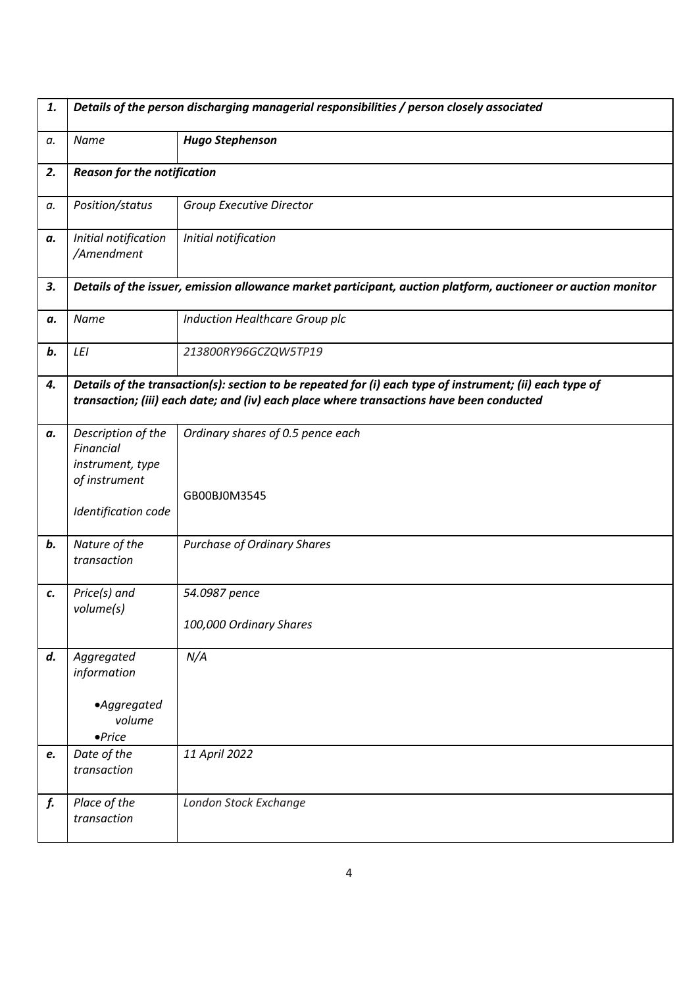| 1. | Details of the person discharging managerial responsibilities / person closely associated                     |                                                                                                                                                                                                      |  |
|----|---------------------------------------------------------------------------------------------------------------|------------------------------------------------------------------------------------------------------------------------------------------------------------------------------------------------------|--|
| а. | Name                                                                                                          | <b>Hugo Stephenson</b>                                                                                                                                                                               |  |
| 2. |                                                                                                               | <b>Reason for the notification</b>                                                                                                                                                                   |  |
| а. | Position/status                                                                                               | Group Executive Director                                                                                                                                                                             |  |
| а. | Initial notification<br>/Amendment                                                                            | Initial notification                                                                                                                                                                                 |  |
| 3. | Details of the issuer, emission allowance market participant, auction platform, auctioneer or auction monitor |                                                                                                                                                                                                      |  |
| а. | Name                                                                                                          | Induction Healthcare Group plc                                                                                                                                                                       |  |
| b. | LEI                                                                                                           | 213800RY96GCZQW5TP19                                                                                                                                                                                 |  |
| 4. |                                                                                                               | Details of the transaction(s): section to be repeated for (i) each type of instrument; (ii) each type of<br>transaction; (iii) each date; and (iv) each place where transactions have been conducted |  |
| а. | Description of the<br>Financial<br>instrument, type<br>of instrument<br>Identification code                   | Ordinary shares of 0.5 pence each<br>GB00BJ0M3545                                                                                                                                                    |  |
| b. | Nature of the<br>transaction                                                                                  | <b>Purchase of Ordinary Shares</b>                                                                                                                                                                   |  |
| c. | Price(s) and<br>volume(s)                                                                                     | 54.0987 pence<br>100,000 Ordinary Shares                                                                                                                                                             |  |
| d. | Aggregated<br>information<br>•Aggregated<br>volume<br>$\bullet$ Price                                         | N/A                                                                                                                                                                                                  |  |
| e. | Date of the<br>transaction                                                                                    | 11 April 2022                                                                                                                                                                                        |  |
| f. | Place of the<br>transaction                                                                                   | London Stock Exchange                                                                                                                                                                                |  |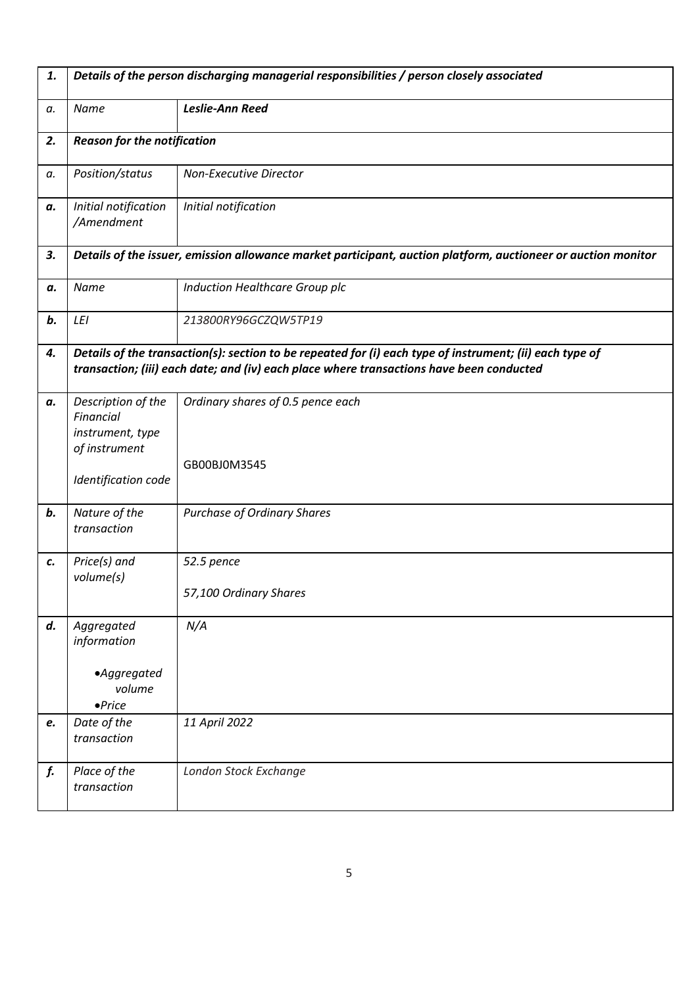| 1. | Details of the person discharging managerial responsibilities / person closely associated                     |                                                                                                                                                                                                      |  |
|----|---------------------------------------------------------------------------------------------------------------|------------------------------------------------------------------------------------------------------------------------------------------------------------------------------------------------------|--|
| a. | Name                                                                                                          | <b>Leslie-Ann Reed</b>                                                                                                                                                                               |  |
| 2. | <b>Reason for the notification</b>                                                                            |                                                                                                                                                                                                      |  |
| a. | Position/status                                                                                               | Non-Executive Director                                                                                                                                                                               |  |
| а. | Initial notification<br>/Amendment                                                                            | Initial notification                                                                                                                                                                                 |  |
| 3. | Details of the issuer, emission allowance market participant, auction platform, auctioneer or auction monitor |                                                                                                                                                                                                      |  |
| а. | Name                                                                                                          | Induction Healthcare Group plc                                                                                                                                                                       |  |
| b. | LEI                                                                                                           | 213800RY96GCZQW5TP19                                                                                                                                                                                 |  |
| 4. |                                                                                                               | Details of the transaction(s): section to be repeated for (i) each type of instrument; (ii) each type of<br>transaction; (iii) each date; and (iv) each place where transactions have been conducted |  |
| а. | Description of the<br>Financial<br>instrument, type<br>of instrument<br>Identification code                   | Ordinary shares of 0.5 pence each<br>GB00BJ0M3545                                                                                                                                                    |  |
| b. | Nature of the<br>transaction                                                                                  | <b>Purchase of Ordinary Shares</b>                                                                                                                                                                   |  |
| c. | Price(s) and<br>volume(s)                                                                                     | 52.5 pence<br>57,100 Ordinary Shares                                                                                                                                                                 |  |
| d. | Aggregated<br>information<br>·Aggregated<br>volume<br>$\bullet$ Price                                         | N/A                                                                                                                                                                                                  |  |
| e. | Date of the<br>transaction                                                                                    | 11 April 2022                                                                                                                                                                                        |  |
| f. | Place of the<br>transaction                                                                                   | London Stock Exchange                                                                                                                                                                                |  |